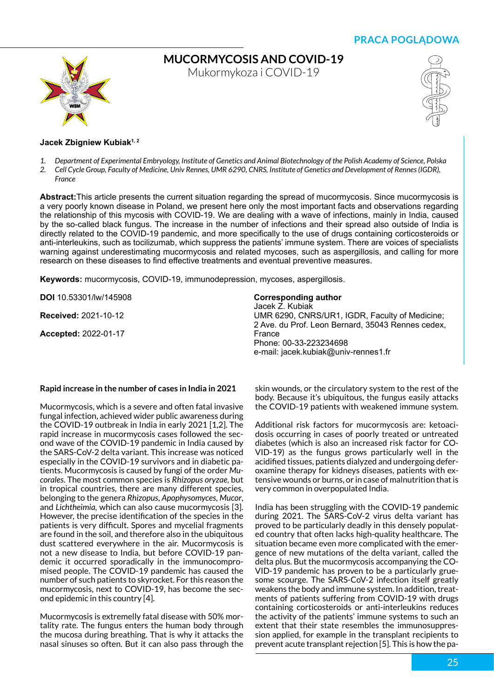**PRACA POGLĄDOWA**



**Mucormycosis and COVID-19**

Mukormykoza i COVID-19



## Jacek Zbigniew Kubiak<sup>1, 2</sup>

- *1. Department of Experimental Embryology, Institute of Genetics and Animal Biotechnology of the Polish Academy of Science, Polska*
- *2. Cell Cycle Group, Faculty of Medicine, Univ Rennes, UMR 6290, CNRS, Institute of Genetics and Development of Rennes (IGDR), France*

**Abstract:**This article presents the current situation regarding the spread of mucormycosis. Since mucormycosis is a very poorly known disease in Poland, we present here only the most important facts and observations regarding the relationship of this mycosis with COVID-19. We are dealing with a wave of infections, mainly in India, caused by the so-called black fungus. The increase in the number of infections and their spread also outside of India is directly related to the COVID-19 pandemic, and more specifically to the use of drugs containing corticosteroids or anti-interleukins, such as tocilizumab, which suppress the patients' immune system. There are voices of specialists warning against underestimating mucormycosis and related mycoses, such as aspergillosis, and calling for more research on these diseases to find effective treatments and eventual preventive measures.

**Keywords:** mucormycosis, COVID-19, immunodepression, mycoses, aspergillosis.

**DOI** 10.53301/lw/145908

**Received:** 2021-10-12

**Accepted:** 2022-01-17

## **Corresponding author**

Jacek Z. Kubiak UMR 6290, CNRS/UR1, IGDR, Faculty of Medicine; 2 Ave. du Prof. Leon Bernard, 35043 Rennes cedex, France Phone: 00-33-223234698 e-mail: jacek.kubiak@univ-rennes1.fr

## **Rapid increase in the number of cases in India in 2021**

Mucormycosis, which is a severe and often fatal invasive fungal infection, achieved wider public awareness during the COVID-19 outbreak in India in early 2021 [1,2]. The rapid increase in mucormycosis cases followed the second wave of the COVID-19 pandemic in India caused by the SARS-CoV-2 delta variant. This increase was noticed especially in the COVID-19 survivors and in diabetic patients. Mucormycosis is caused by fungi of the order *Mucorales*. The most common species is *Rhizopus oryzae*, but in tropical countries, there are many different species, belonging to the genera *Rhizopus*, *Apophysomyces*, *Mucor*, and *Lichtheimia,* which can also cause mucormycosis [3]. However, the precise identification of the species in the patients is very difficult. Spores and mycelial fragments are found in the soil, and therefore also in the ubiquitous dust scattered everywhere in the air. Mucormycosis is not a new disease to India, but before COVID-19 pandemic it occurred sporadically in the immunocompromised people. The COVID-19 pandemic has caused the number of such patients to skyrocket. For this reason the mucormycosis, next to COVID-19, has become the second epidemic in this country [4].

Mucormycosis is extremelly fatal disease with 50% mortality rate. The fungus enters the human body through the mucosa during breathing. That is why it attacks the nasal sinuses so often. But it can also pass through the skin wounds, or the circulatory system to the rest of the body. Because it's ubiquitous, the fungus easily attacks the COVID-19 patients with weakened immune system.

Additional risk factors for mucormycosis are: ketoacidosis occurring in cases of poorly treated or untreated diabetes (which is also an increased risk factor for CO-VID-19) as the fungus grows particularly well in the acidified tissues, patients dialyzed and undergoing deferoxamine therapy for kidneys diseases, patients with extensive wounds or burns, or in case of malnutrition that is very common in overpopulated India.

India has been struggling with the COVID-19 pandemic during 2021. The SARS-CoV-2 virus delta variant has proved to be particularly deadly in this densely populated country that often lacks high-quality healthcare. The situation became even more complicated with the emergence of new mutations of the delta variant, called the delta plus. But the mucormycosis accompanying the CO-VID-19 pandemic has proven to be a particularly gruesome scourge. The SARS-CoV-2 infection itself greatly weakens the body and immune system. In addition, treatments of patients suffering from COVID-19 with drugs containing corticosteroids or anti-interleukins reduces the activity of the patients' immune systems to such an extent that their state resembles the immunosuppression applied, for example in the transplant recipients to prevent acute transplant rejection [5]. This is how the pa-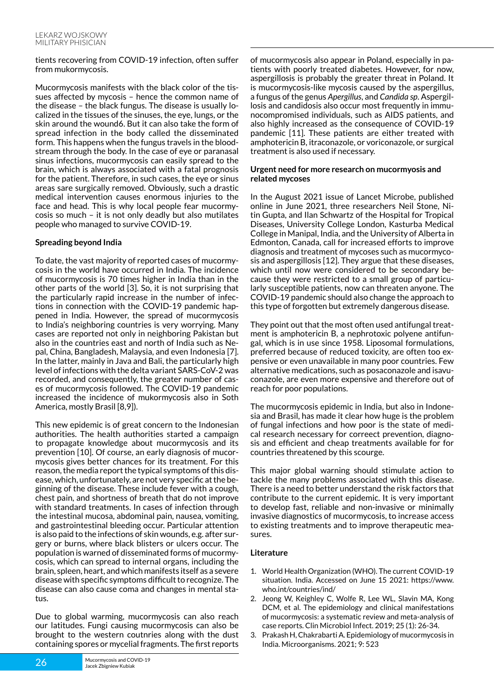#### tients recovering from COVID-19 infection, often suffer from mukormycosis.

Mucormycosis manifests with the black color of the tissues affected by mycosis – hence the common name of the disease – the black fungus. The disease is usually localized in the tissues of the sinuses, the eye, lungs, or the skin around the wound6. But it can also take the form of spread infection in the body called the disseminated form. This happens when the fungus travels in the bloodstream through the body. In the case of eye or paranasal sinus infections, mucormycosis can easily spread to the brain, which is always associated with a fatal prognosis for the patient. Therefore, in such cases, the eye or sinus areas sare surgically removed. Obviously, such a drastic medical intervention causes enormous injuries to the face and head. This is why local people fear mucormycosis so much – it is not only deadly but also mutilates people who managed to survive COVID-19.

# **Spreading beyond India**

To date, the vast majority of reported cases of mucormycosis in the world have occurred in India. The incidence of mucormycosis is 70 times higher in India than in the other parts of the world [3]. So, it is not surprising that the particularly rapid increase in the number of infections in connection with the COVID-19 pandemic happened in India. However, the spread of mucormycosis to India's neighboring countries is very worrying. Many cases are reported not only in neighboring Pakistan but also in the countries east and north of India such as Nepal, China, Bangladesh, Malaysia, and even Indonesia [7]. In the latter, mainly in Java and Bali, the particularly high level of infections with the delta variant SARS-CoV-2 was recorded, and consequently, the greater number of cases of mucormycosis followed. The COVID-19 pandemic increased the incidence of mukormycosis also in Soth America, mostly Brasil [8,9]).

This new epidemic is of great concern to the Indonesian authorities. The health authorities started a campaign to propagate knowledge about mucormycosis and its prevention [10]. Of course, an early diagnosis of mucormycosis gives better chances for its treatment. For this reason, the media report the typical symptoms of this disease, which, unfortunately, are not very specific at the beginning of the disease. These include fever with a cough, chest pain, and shortness of breath that do not improve with standard treatments. In cases of infection through the intestinal mucosa, abdominal pain, nausea, vomiting, and gastrointestinal bleeding occur. Particular attention is also paid to the infections of skin wounds, e.g. after surgery or burns, where black blisters or ulcers occur. The population is warned of disseminated forms of mucormycosis, which can spread to internal organs, including the brain, spleen, heart, and which manifests itself as a severe disease with specific symptoms difficult to recognize. The disease can also cause coma and changes in mental status.

Due to global warming, mucormycosis can also reach our latitudes. Fungi causing mucormycosis can also be brought to the western coutnries along with the dust containing spores or mycelial fragments. The first reports

of mucormycosis also appear in Poland, especially in patients with poorly treated diabetes. However, for now, aspergillosis is probably the greater threat in Poland. It is mucormycosis-like mycosis caused by the aspergillus, a fungus of the genus *Apergillus*, and *Candida sp*. Aspergillosis and candidosis also occur most frequently in immunocompromised individuals, such as AIDS patients, and also highly increased as the consequence of COVID-19 pandemic [11]. These patients are either treated with amphotericin B, itraconazole, or voriconazole, or surgical treatment is also used if necessary.

## **Urgent need for more research on mucormyosis and related mycoses**

In the August 2021 issue of Lancet Microbe, published online in June 2021, three researchers Neil Stone, Nitin Gupta, and Ilan Schwartz of the Hospital for Tropical Diseases, University College London, Kasturba Medical College in Manipal, India, and the University of Alberta in Edmonton, Canada, call for increased efforts to improve diagnosis and treatment of mycoses such as mucormycosis and aspergillosis [12]. They argue that these diseases, which until now were considered to be secondary because they were restricted to a small group of particularly susceptible patients, now can threaten anyone. The COVID-19 pandemic should also change the approach to this type of forgotten but extremely dangerous disease.

They point out that the most often used antifungal treatment is amphotericin B, a nephrotoxic polyene antifungal, which is in use since 1958. Liposomal formulations, preferred because of reduced toxicity, are often too expensive or even unavailable in many poor countries. Few alternative medications, such as posaconazole and isavuconazole, are even more expensive and therefore out of reach for poor populations.

The mucormycosis epidemic in India, but also in Indonesia and Brasil, has made it clear how huge is the problem of fungal infections and how poor is the state of medical research necessary for correect prevention, diagnosis and efficient and cheap treatments available for for countries threatened by this scourge.

This major global warning should stimulate action to tackle the many problems associated with this disease. There is a need to better understand the risk factors that contribute to the current epidemic. It is very important to develop fast, reliable and non-invasive or minimally invasive diagnostics of mucormycosis, to increase access to existing treatments and to improve therapeutic measures.

# **Literature**

- 1. World Health Organization (WHO). The current COVID-19 situation. India. Accessed on June 15 2021: https://www. who.int/countries/ind/
- 2. Jeong W, Keighley C, Wolfe R, Lee WL, Slavin MA, Kong DCM, et al. The epidemiology and clinical manifestations of mucormycosis: a systematic review and meta-analysis of case reports. Clin Microbiol Infect. 2019; 25 (1): 26-34.
- 3. Prakash H, Chakrabarti A. Epidemiology of mucormycosis in India. Microorganisms. 2021; 9: 523